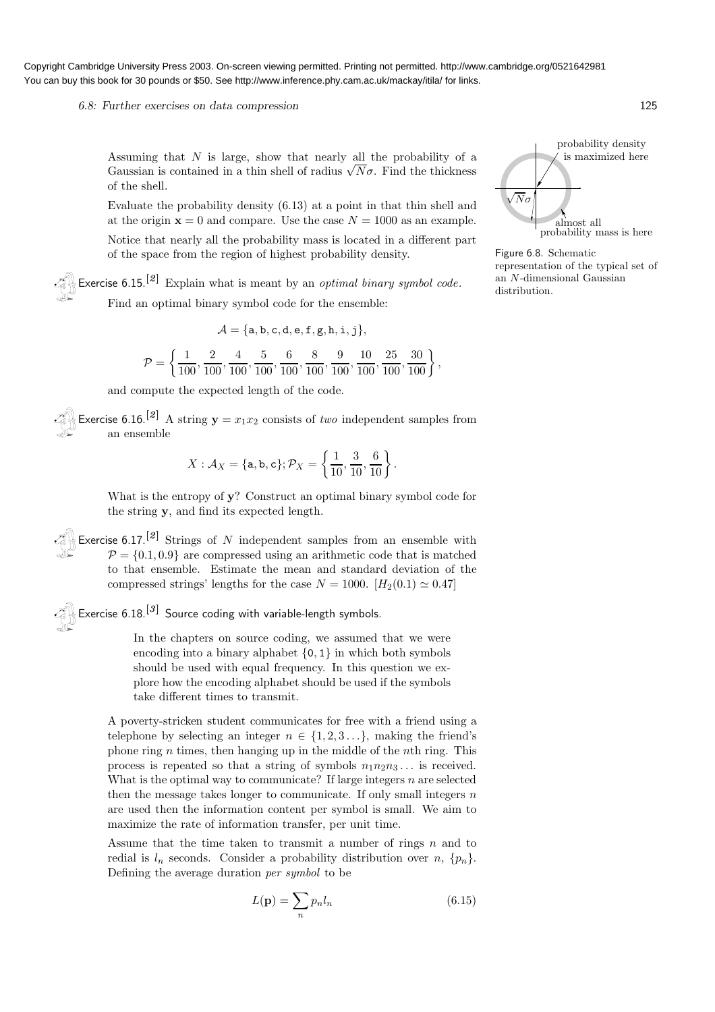### 6.8: Further exercises on data compression 125

Assuming that  $N$  is large, show that nearly all the probability of a Gaussian is contained in a thin shell of radius  $\sqrt{N}\sigma$ . Find the thickness of the shell.

Evaluate the probability density (6.13) at a point in that thin shell and at the origin  $\mathbf{x} = 0$  and compare. Use the case  $N = 1000$  as an example. Notice that nearly all the probability mass is located in a different part of the space from the region of highest probability density.

Exercise  $6.15$ <sup>[2]</sup> Explain what is meant by an *optimal binary symbol code*. Find an optimal binary symbol code for the ensemble:

$$
\mathcal{A} = \{\texttt{a}, \texttt{b}, \texttt{c}, \texttt{d}, \texttt{e}, \texttt{f}, \texttt{g}, \texttt{h}, \texttt{i}, \texttt{j}\},
$$

$$
\mathcal{P} = \left\{ \frac{1}{100}, \frac{2}{100}, \frac{4}{100}, \frac{5}{100}, \frac{6}{100}, \frac{8}{100}, \frac{9}{100}, \frac{10}{100}, \frac{25}{100}, \frac{30}{100} \right\},\
$$

and compute the expected length of the code.

Exercise 6.16.<sup>[2]</sup> A string  $y = x_1x_2$  consists of two independent samples from an ensemble

$$
X: \mathcal{A}_X = \{ \mathsf{a}, \mathsf{b}, \mathsf{c} \}; \mathcal{P}_X = \left\{ \frac{1}{10}, \frac{3}{10}, \frac{6}{10} \right\}.
$$

What is the entropy of **v**? Construct an optimal binary symbol code for the string y, and find its expected length.

Exercise 6.17.<sup>[2]</sup> Strings of N independent samples from an ensemble with  $P = \{0.1, 0.9\}$  are compressed using an arithmetic code that is matched to that ensemble. Estimate the mean and standard deviation of the compressed strings' lengths for the case  $N = 1000$ .  $[H<sub>2</sub>(0.1) \simeq 0.47]$ 

# Exercise  $6.18.^{[3]}$  Source coding with variable-length symbols.

In the chapters on source coding, we assumed that we were encoding into a binary alphabet  $\{0, 1\}$  in which both symbols should be used with equal frequency. In this question we explore how the encoding alphabet should be used if the symbols take different times to transmit.

A poverty-stricken student communicates for free with a friend using a telephone by selecting an integer  $n \in \{1, 2, 3...\}$ , making the friend's phone ring  $n$  times, then hanging up in the middle of the *n*th ring. This process is repeated so that a string of symbols  $n_1n_2n_3...$  is received. What is the optimal way to communicate? If large integers  $n$  are selected then the message takes longer to communicate. If only small integers  $n$ are used then the information content per symbol is small. We aim to maximize the rate of information transfer, per unit time.

Assume that the time taken to transmit a number of rings  $n$  and to redial is  $l_n$  seconds. Consider a probability distribution over  $n, \{p_n\}.$ Defining the average duration per symbol to be

$$
L(\mathbf{p}) = \sum_{n} p_n l_n \tag{6.15}
$$



Figure 6.8. Schematic representation of the typical set of an N-dimensional Gaussian distribution.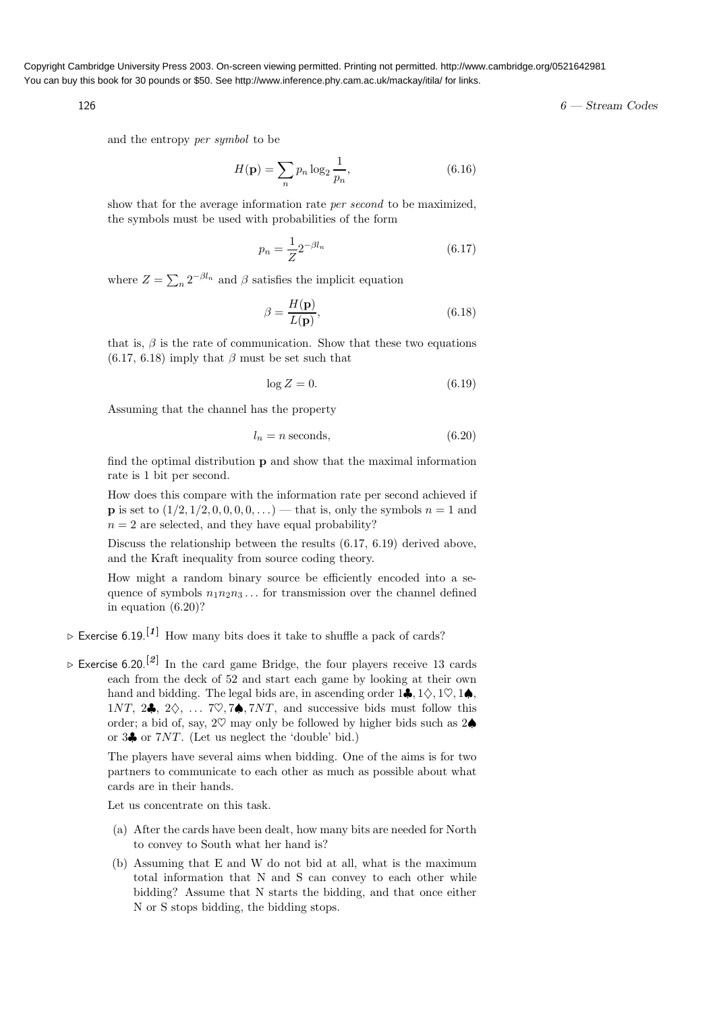$126$  6 — Stream Codes

and the entropy per symbol to be

$$
H(\mathbf{p}) = \sum_{n} p_n \log_2 \frac{1}{p_n},\tag{6.16}
$$

show that for the average information rate *per second* to be maximized, the symbols must be used with probabilities of the form

$$
p_n = \frac{1}{Z} 2^{-\beta l_n}
$$
\n(6.17)

where  $Z = \sum_n 2^{-\beta l_n}$  and  $\beta$  satisfies the implicit equation

$$
\beta = \frac{H(\mathbf{p})}{L(\mathbf{p})},\tag{6.18}
$$

that is,  $\beta$  is the rate of communication. Show that these two equations  $(6.17, 6.18)$  imply that  $\beta$  must be set such that

$$
\log Z = 0.\tag{6.19}
$$

Assuming that the channel has the property

$$
l_n = n \text{ seconds},\tag{6.20}
$$

find the optimal distribution p and show that the maximal information rate is 1 bit per second.

How does this compare with the information rate per second achieved if **p** is set to  $(1/2, 1/2, 0, 0, 0, 0, ...)$  that is, only the symbols  $n = 1$  and  $n = 2$  are selected, and they have equal probability?

Discuss the relationship between the results (6.17, 6.19) derived above, and the Kraft inequality from source coding theory.

How might a random binary source be efficiently encoded into a sequence of symbols  $n_1n_2n_3...$  for transmission over the channel defined in equation (6.20)?

- $\triangleright$  Exercise 6.19.<sup>[1]</sup> How many bits does it take to shuffle a pack of cards?
- $\triangleright$  Exercise 6.20.<sup>[2]</sup> In the card game Bridge, the four players receive 13 cards each from the deck of 52 and start each game by looking at their own hand and bidding. The legal bids are, in ascending order  $1\clubsuit, 1\diamondsuit, 1\heartsuit, 1\spadesuit$ . 1NT, 2 $\clubsuit$ , 2 $\diamondsuit$ , ... 7 $\heartsuit$ , 7 $\spadesuit$ , 7NT, and successive bids must follow this order; a bid of, say, 2 $\heartsuit$  may only be followed by higher bids such as 2 $\spadesuit$ or 3♣ or 7NT. (Let us neglect the 'double' bid.)

The players have several aims when bidding. One of the aims is for two partners to communicate to each other as much as possible about what cards are in their hands.

Let us concentrate on this task.

- (a) After the cards have been dealt, how many bits are needed for North to convey to South what her hand is?
- (b) Assuming that E and W do not bid at all, what is the maximum total information that N and S can convey to each other while bidding? Assume that N starts the bidding, and that once either N or S stops bidding, the bidding stops.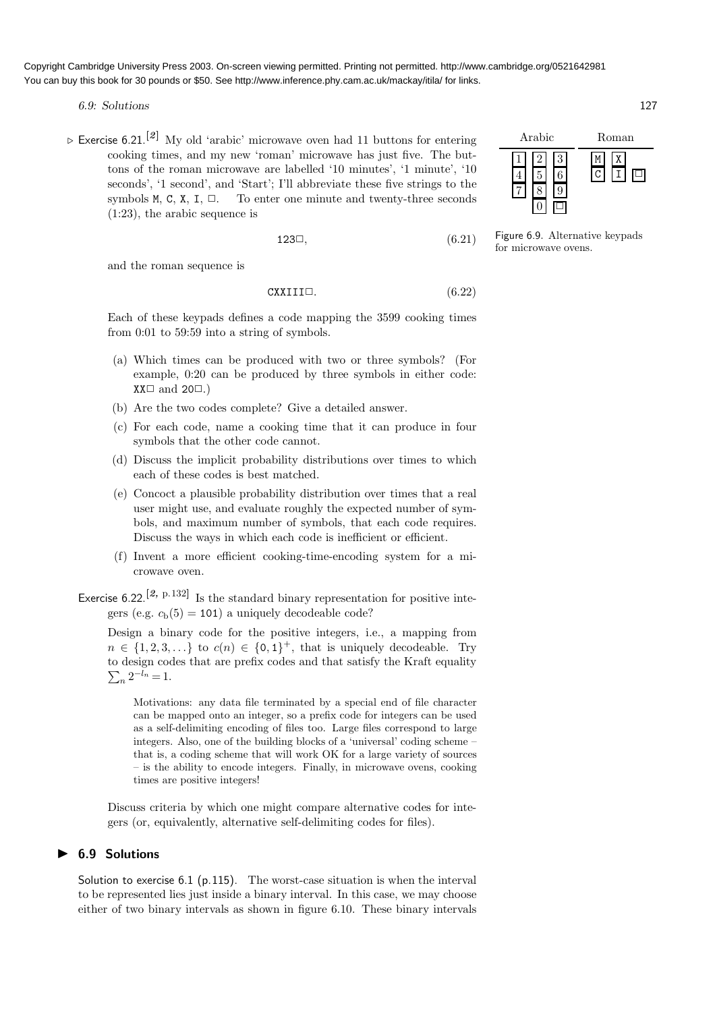6.9: Solutions 127

 $\triangleright$  Exercise 6.21.<sup>[2]</sup> My old 'arabic' microwave oven had 11 buttons for entering cooking times, and my new 'roman' microwave has just five. The buttons of the roman microwave are labelled '10 minutes', '1 minute', '10 seconds', '1 second', and 'Start'; I'll abbreviate these five strings to the symbols M, C, X, I,  $\Box$ . To enter one minute and twenty-three seconds (1:23), the arabic sequence is

$$
123\Box,\t\t(6.21)
$$

and the roman sequence is

$$
CXXIII \Box. \tag{6.22}
$$

Each of these keypads defines a code mapping the 3599 cooking times from 0:01 to 59:59 into a string of symbols.

- (a) Which times can be produced with two or three symbols? (For example, 0:20 can be produced by three symbols in either code:  $XX\Box$  and 20 $\Box$ .)
- (b) Are the two codes complete? Give a detailed answer.
- (c) For each code, name a cooking time that it can produce in four symbols that the other code cannot.
- (d) Discuss the implicit probability distributions over times to which each of these codes is best matched.
- (e) Concoct a plausible probability distribution over times that a real user might use, and evaluate roughly the expected number of symbols, and maximum number of symbols, that each code requires. Discuss the ways in which each code is inefficient or efficient.
- (f) Invent a more efficient cooking-time-encoding system for a microwave oven.
- Exercise 6.22.<sup>[2, p.132]</sup> Is the standard binary representation for positive integers (e.g.  $c<sub>b</sub>(5) = 101$ ) a uniquely decodeable code?

Design a binary code for the positive integers, i.e., a mapping from  $n \in \{1, 2, 3, \ldots\}$  to  $c(n) \in \{0, 1\}^+$ , that is uniquely decodeable. Try to design codes that are prefix codes and that satisfy the Kraf t equality  $\sum_{n} 2^{-l_n} = 1.$ 

Motivations: any data file terminated by a special end of file character can be mapped onto an integer, so a prefix code for integers can be used as a self-delimiting encoding of files too. Large files correspond to large integers. Also, one of the building blocks of a 'universal' coding scheme – that is, a coding scheme that will work OK for a large variety of sources – is the ability to encode integers. Finally, in microwave ovens, cooking times are positive integers!

Discuss criteria by which one might compare alternative codes for integers (or, equivalently, alternative self-delimiting codes for files).

## **6.9 Solutions**

Solution to exercise 6.1 (p.115). The worst-case situation is when the interval to be represented lies just inside a binary interval. In this case, we may choose either of two binary intervals as shown in figure 6.10. These binary intervals



Figure 6.9. Alternative keypads for microwave ovens.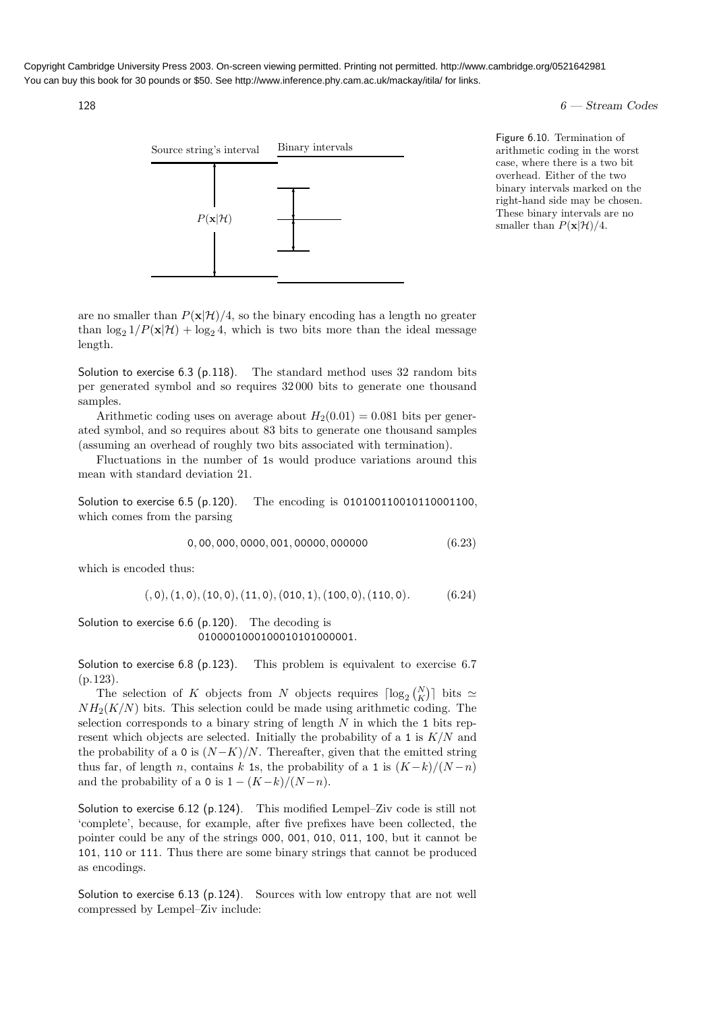### $128$  6 — Stream Codes



Figure 6.10. Termination of arithmetic coding in the worst case, where there is a two bit overhead. Either of the two binary intervals marked on the right-hand side may be chosen. These binary intervals are no smaller than  $P(\mathbf{x}|\mathcal{H})/4$ .

are no smaller than  $P(x|\mathcal{H})/4$ , so the binary encoding has a length no greater than  $\log_2 1/P(\mathbf{x}|\mathcal{H}) + \log_2 4$ , which is two bits more than the ideal message length.

Solution to exercise 6.3 (p.118). The standard method uses 32 random bits per generated symbol and so requires 32 000 bits to generate one thousand samples.

Arithmetic coding uses on average about  $H_2(0.01) = 0.081$  bits per generated symbol, and so requires about 83 bits to generate one thousand samples (assuming an overhead of roughly two bits associated with termination).

Fluctuations in the number of 1s would produce variations around this mean with standard deviation 21.

Solution to exercise 6.5 (p.120). The encoding is 010100110010110001100, which comes from the parsing

$$
0,00,000,0000,001,00000,000000 \qquad (6.23)
$$

which is encoded thus:

$$
(0,0), (1,0), (10,0), (11,0), (010,1), (100,0), (110,0). \hspace{1cm} (6.24)
$$

Solution to exercise 6.6 (p.120). The decoding is 0100001000100010101000001.

Solution to exercise 6.8 (p.123). This problem is equivalent to exercise 6.7 (p.123).

The selection of K objects from N objects requires  $\lceil \log_2 {N \choose K} \rceil$  bits  $\simeq$  $NH<sub>2</sub>(K/N)$  bits. This selection could be made using arithmetic coding. The selection corresponds to a binary string of length  $N$  in which the 1 bits represent which objects are selected. Initially the probability of a 1 is  $K/N$  and the probability of a 0 is  $(N-K)/N$ . Thereafter, given that the emitted string thus far, of length n, contains k 1s, the probability of a 1 is  $(K-k)/(N-n)$ and the probability of a 0 is  $1 - (K-k)/(N-n)$ .

Solution to exercise 6.12 (p.124). This modified Lempel–Ziv code is still not 'complete', because, for example, after five prefixes have been collected, the pointer could be any of the strings 000, 001, 010, 011, 100, but it cannot be 101, 110 or 111. Thus there are some binary strings that cannot be produced as encodings.

Solution to exercise 6.13 (p.124). Sources with low entropy that are not well compressed by Lempel–Ziv include: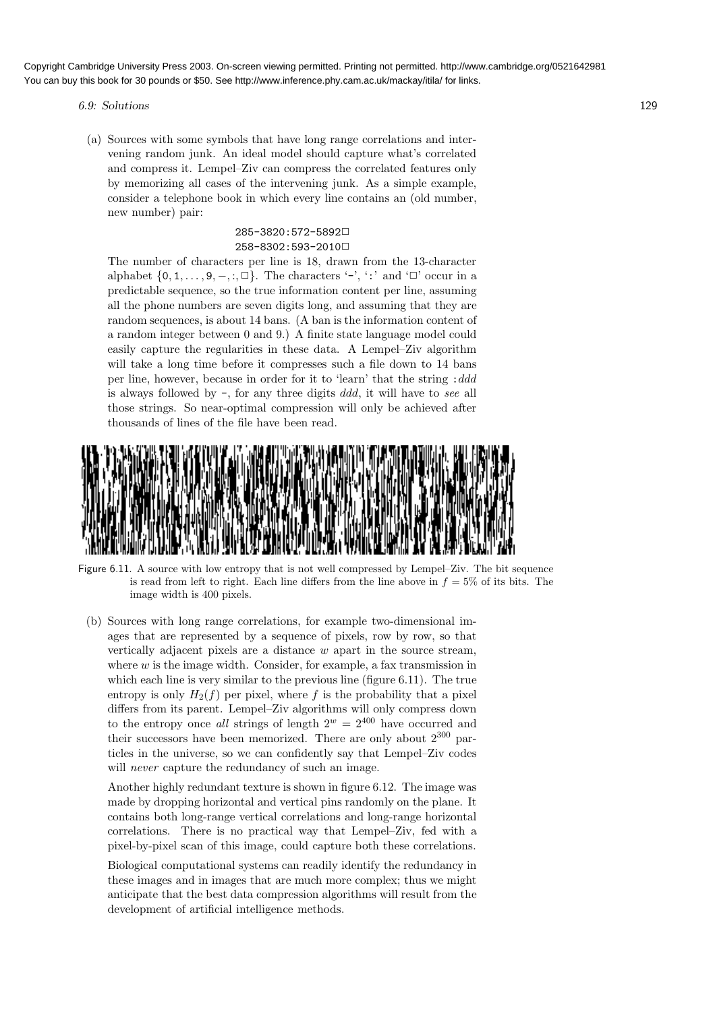- 6.9: Solutions 129
	- (a) Sources with some symbols that have long range correlations and intervening random junk. An ideal model should capture what's correlated and compress it. Lempel–Ziv can compress the correlated features only by memorizing all cases of the intervening junk. As a simple example, consider a telephone book in which every line contains an (old number, new number) pair:

## 285-3820:572-5892✷ 258-8302:593-2010✷

The number of characters per line is 18, drawn from the 13-character alphabet  $\{0, 1, \ldots, 9, -, : \square\}$ . The characters '-', ':' and ' $\square$ ' occur in a predictable sequence, so the true information content per line, assuming all the phone numbers are seven digits long, and assuming that they are random sequences, is about 14 bans. (A ban is the information content of a random integer between 0 and 9.) A finite state language model could easily capture the regularities in these data. A Lempel–Ziv algorithm will take a long time before it compresses such a file down to 14 bans per line, however, because in order for it to 'learn' that the string : ddd is always followed by -, for any three digits ddd, it will have to see all those strings. So near-optimal compression will only be achieved after thousands of lines of the file have been read.



Figure 6.11. A source with low entropy that is not well compressed by Lempel–Ziv. The bit sequence is read from left to right. Each line differs from the line above in  $f = 5\%$  of its bits. The image width is 400 pixels.

(b) Sources with long range correlations, for example two-dimensional images that are represented by a sequence of pixels, row by row, so that vertically adjacent pixels are a distance  $w$  apart in the source stream, where  $w$  is the image width. Consider, for example, a fax transmission in which each line is very similar to the previous line (figure 6.11). The true entropy is only  $H_2(f)$  per pixel, where f is the probability that a pixel differs from its parent. Lempel–Ziv algorithms will only compress down to the entropy once all strings of length  $2^w = 2^{400}$  have occurred and their successors have been memorized. There are only about  $2^{300}$  particles in the universe, so we can confidently say that Lempel–Ziv codes will *never* capture the redundancy of such an image.

Another highly redundant texture is shown in figure 6.12. The image was made by dropping horizontal and vertical pins randomly on the plane. It contains both long-range vertical correlations and long-range horizontal correlations. There is no practical way that Lempel–Ziv, fed with a pixel-by-pixel scan of this image, could capture both these correlations.

Biological computational systems can readily identify the redundancy in these images and in images that are much more complex; thus we might anticipate that the best data compression algorithms will result from the development of artificial intelligence methods.